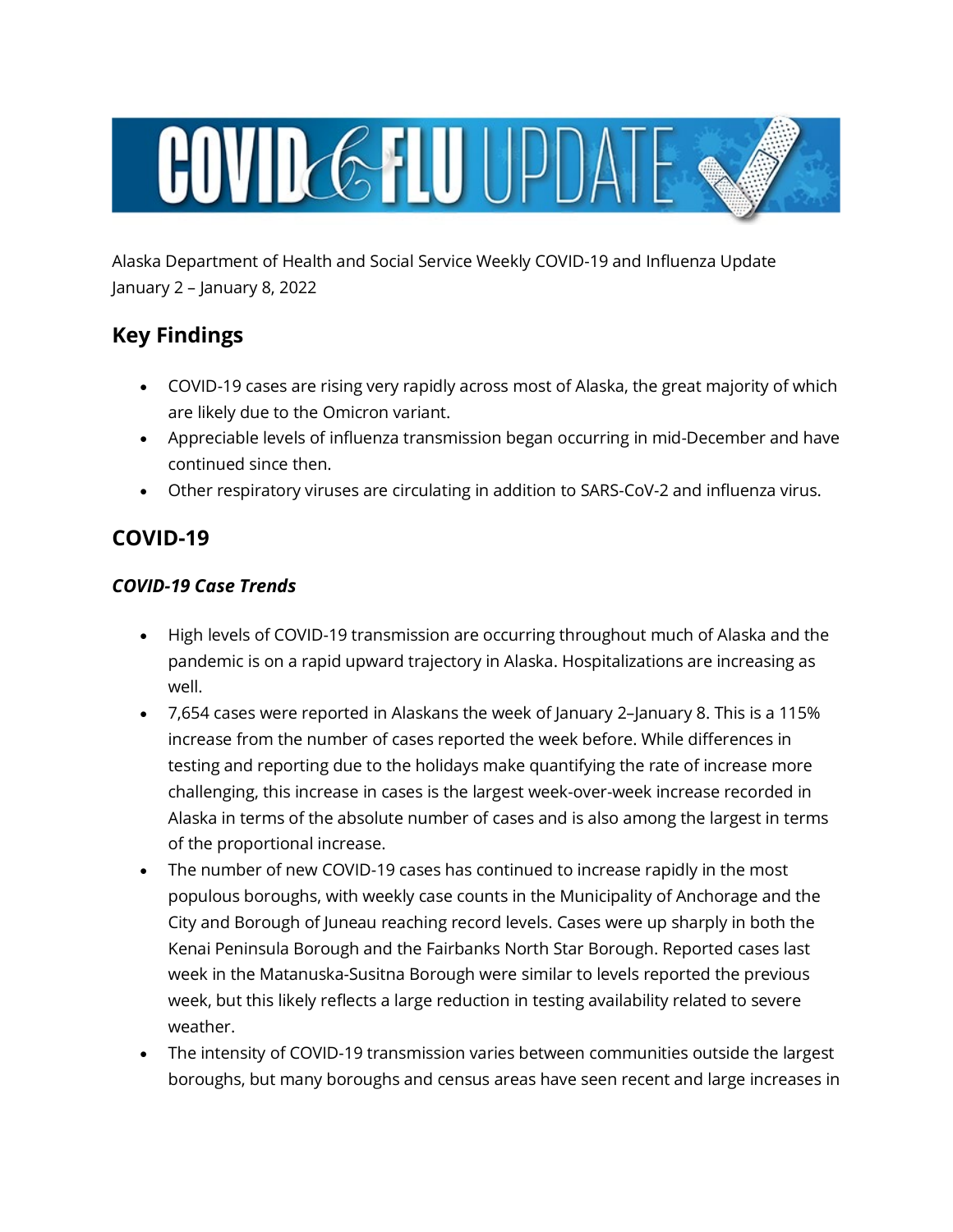

Alaska Department of Health and Social Service Weekly COVID-19 and Influenza Update January 2 – January 8, 2022

# **Key Findings**

- COVID-19 cases are rising very rapidly across most of Alaska, the great majority of which are likely due to the Omicron variant.
- Appreciable levels of influenza transmission began occurring in mid-December and have continued since then.
- Other respiratory viruses are circulating in addition to SARS-CoV-2 and influenza virus.

# **COVID-19**

### *COVID-19 Case Trends*

- High levels of COVID-19 transmission are occurring throughout much of Alaska and the pandemic is on a rapid upward trajectory in Alaska. Hospitalizations are increasing as well.
- 7,654 cases were reported in Alaskans the week of January 2–January 8. This is a 115% increase from the number of cases reported the week before. While differences in testing and reporting due to the holidays make quantifying the rate of increase more challenging, this increase in cases is the largest week-over-week increase recorded in Alaska in terms of the absolute number of cases and is also among the largest in terms of the proportional increase.
- The number of new COVID-19 cases has continued to increase rapidly in the most populous boroughs, with weekly case counts in the Municipality of Anchorage and the City and Borough of Juneau reaching record levels. Cases were up sharply in both the Kenai Peninsula Borough and the Fairbanks North Star Borough. Reported cases last week in the Matanuska-Susitna Borough were similar to levels reported the previous week, but this likely reflects a large reduction in testing availability related to severe weather.
- The intensity of COVID-19 transmission varies between communities outside the largest boroughs, but many boroughs and census areas have seen recent and large increases in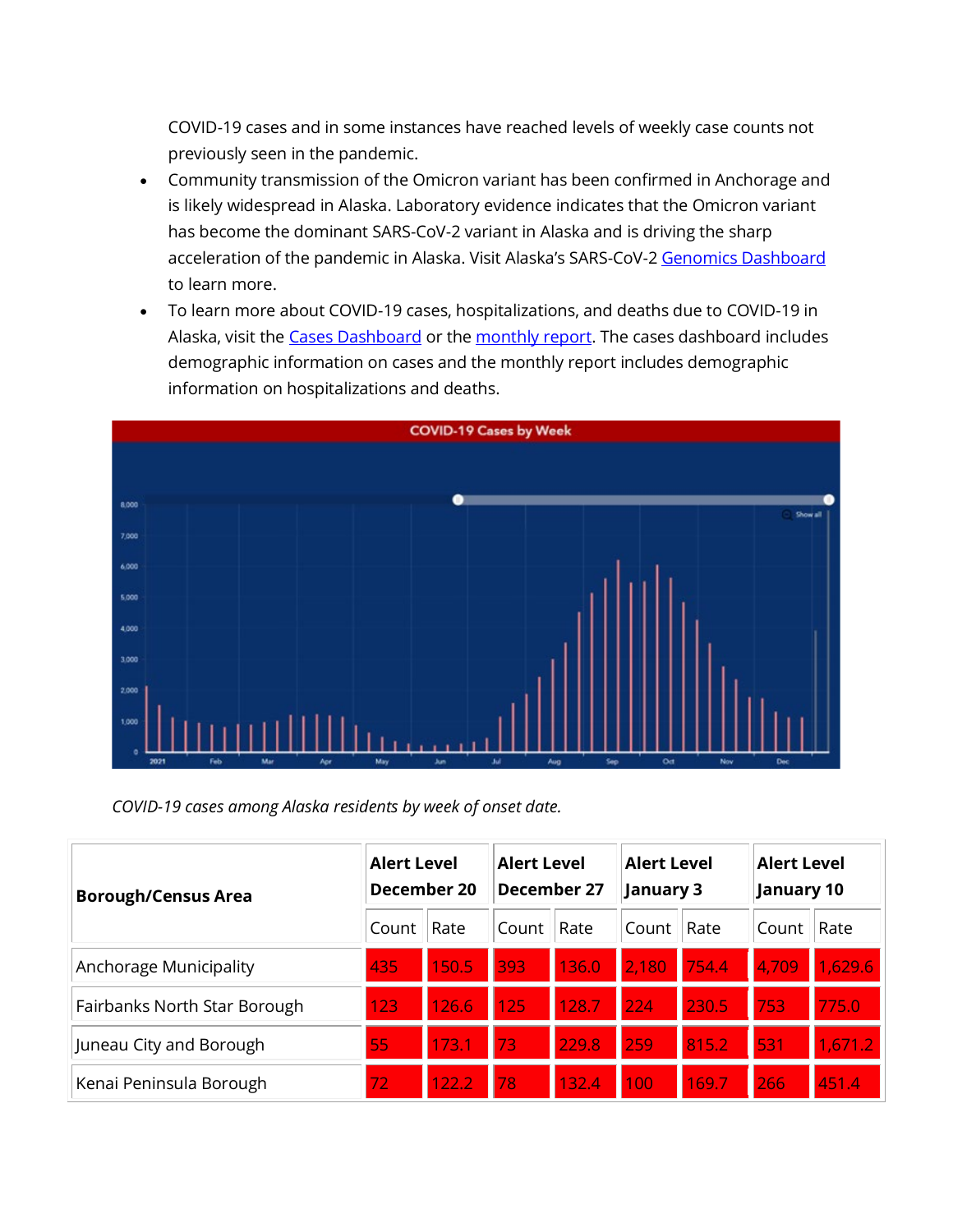COVID-19 cases and in some instances have reached levels of weekly case counts not previously seen in the pandemic.

- Community transmission of the Omicron variant has been confirmed in Anchorage and is likely widespread in Alaska. Laboratory evidence indicates that the Omicron variant has become the dominant SARS-CoV-2 variant in Alaska and is driving the sharp acceleration of the pandemic in Alaska. Visit Alaska's SARS-CoV-2 [Genomics Dashboard](https://lnks.gd/l/eyJhbGciOiJIUzI1NiJ9.eyJidWxsZXRpbl9saW5rX2lkIjoxMDAsInVyaSI6ImJwMjpjbGljayIsImJ1bGxldGluX2lkIjoiMjAyMjAxMTUuNTE4NTk4NTEiLCJ1cmwiOiJodHRwczovL2FrdmFyaWFudHMuZ2l0aHViLmlvLyJ9.OMWy-MmG1NbSvkGtt5r9inGmi8wEI-uHi8s1etl7mQM/s/1125523096/br/125100264393-l) to learn more.
- To learn more about COVID-19 cases, hospitalizations, and deaths due to COVID-19 in Alaska, visit the [Cases Dashboard](https://lnks.gd/l/eyJhbGciOiJIUzI1NiJ9.eyJidWxsZXRpbl9saW5rX2lkIjoxMDEsInVyaSI6ImJwMjpjbGljayIsImJ1bGxldGluX2lkIjoiMjAyMjAxMTUuNTE4NTk4NTEiLCJ1cmwiOiJodHRwczovL2V4cGVyaWVuY2UuYXJjZ2lzLmNvbS9leHBlcmllbmNlL2FmMmVmYzhiZmZiZjRjZGM4M2MyZDFhMTM0MzU0MDc0Lz9mb3JtPU1ZMDFTViZPQ0lEPU1ZMDFTViJ9.-2FtORcBFyFiUC44NFxBkeRegkPWewUhZONgHCzMGZY/s/1125523096/br/125100264393-l) or the [monthly report.](https://lnks.gd/l/eyJhbGciOiJIUzI1NiJ9.eyJidWxsZXRpbl9saW5rX2lkIjoxMDIsInVyaSI6ImJwMjpjbGljayIsImJ1bGxldGluX2lkIjoiMjAyMjAxMTUuNTE4NTk4NTEiLCJ1cmwiOiJodHRwczovL2Roc3MuYWxhc2thLmdvdi9kcGgvRXBpL2lkL3NpdGVhc3NldHMvcGFnZXMvSHVtYW5Db1YvQ09WSURfbW9udGhseV91cGRhdGUucGRmIn0.Zjbh7prakFlahvDnzN3KIvf5G3_eVmEBlcvuGUFWs-U/s/1125523096/br/125100264393-l) The cases dashboard includes demographic information on cases and the monthly report includes demographic information on hospitalizations and deaths.



*COVID-19 cases among Alaska residents by week of onset date.* 

| <b>Borough/Census Area</b>   | <b>Alert Level</b><br>December 20 |       | <b>Alert Level</b><br>December 27 |       | <b>Alert Level</b><br>January 3 |         | <b>Alert Level</b><br><b>January 10</b> |         |
|------------------------------|-----------------------------------|-------|-----------------------------------|-------|---------------------------------|---------|-----------------------------------------|---------|
|                              | Count                             | Rate  | Count                             | Rate  | Count                           | Rate    | Count                                   | Rate    |
| Anchorage Municipality       | 435                               | 150.5 | 393                               | 136.0 | 2,180                           | 1754.4/ | 4,709                                   | 1,629.6 |
| Fairbanks North Star Borough | 123                               | 126.6 | 125                               | 128.7 | 224                             | 230.5   | 753                                     | 775.0   |
| Juneau City and Borough      | 55                                | 173.1 | 73                                | 229.8 | 259                             | 815.2   | 531                                     | 1,671.2 |
| Kenai Peninsula Borough      | 72                                | 122.2 | 78                                | 132.4 | 100                             | 169.7   | 266                                     | 451.4   |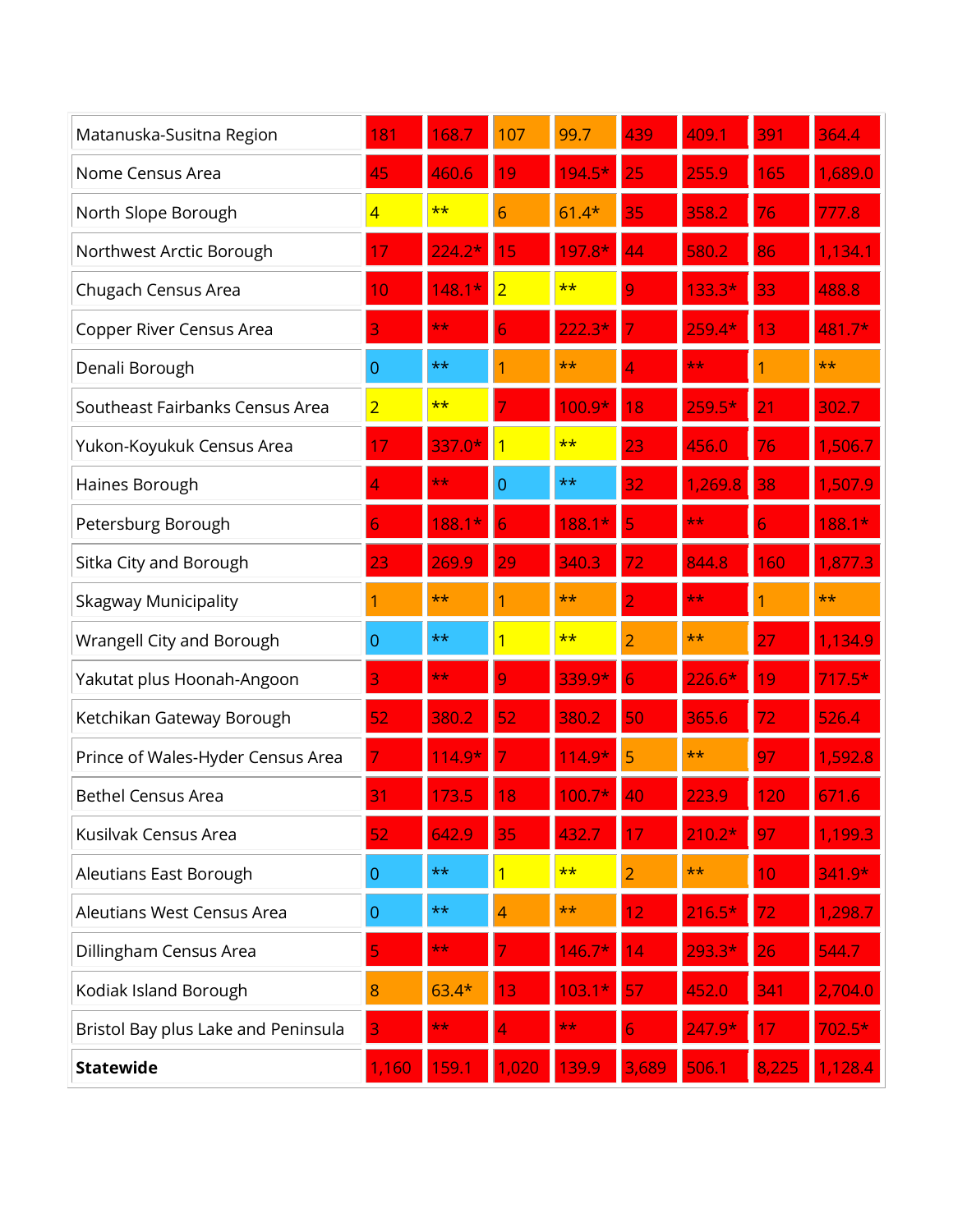| Matanuska-Susitna Region            | 181            | 168.7            | 107            | 99.7         | 439   | 409.1        | 391             | 364.4        |
|-------------------------------------|----------------|------------------|----------------|--------------|-------|--------------|-----------------|--------------|
| Nome Census Area                    | 45             | 460.6            | 19             | $194.5*$     | 25    | 255.9        | 165             | 1,689.0      |
| North Slope Borough                 | $\overline{4}$ | $***$            | 6              | $61.4*$      | 35    | 358.2        | 76              | 777.8        |
| Northwest Arctic Borough            | 17             | $224.2*$         | 15             | $197.8*$     | 44    | 580.2        | 86              | 1,134.1      |
| Chugach Census Area                 | 10             | 148.1<br>$\star$ | $\overline{2}$ | $\star\star$ | 9     | $133.3*$     | 33              | 488.8        |
| Copper River Census Area            | 3              | $\star\star$     | 6              | $222.3*$     |       | $259.4*$     | 13              | 481.7*       |
| Denali Borough                      | $\overline{0}$ | $**$             |                | $\star\star$ |       | $\star\star$ |                 | $\star\star$ |
| Southeast Fairbanks Census Area     | $\overline{2}$ | $***$            |                | $100.9*$     | 8     | $259.5*$     | $\overline{21}$ | 302.7        |
| Yukon-Koyukuk Census Area           |                | $337.0*$         | 1              | $\star\star$ | 23    | 456.0        | 76              | 1,506.7      |
| Haines Borough                      | 4              | $\star\star$     | 0              | $***$        | 32    | 1,269.8      | 38              | 1,507.9      |
| Petersburg Borough                  | 6              | 188.1            |                | 188.1*       | 5     | **           | 6               | 188.1*       |
| Sitka City and Borough              | 23             | 269.9            | 29             | 340.3        | 72    | 844.8        | 160             | 1,877.3      |
| <b>Skagway Municipality</b>         | 1              | $\star\star$     |                | $\star\star$ | 2     | $\star\star$ | 1               | $***$        |
| Wrangell City and Borough           | $\overline{0}$ | **               | 1              | $\star\star$ | 2     | $\star\star$ | 27              | 1,134.9      |
| Yakutat plus Hoonah-Angoon          | 3              | $\star\star$     | q              | $339.9*$     | 6     | $226.6*$     | 19              | $17.5*$      |
| Ketchikan Gateway Borough           | 52             | 380.2            | 52             | 380.2        | 50    | 365.6        | 72              | 526.4        |
| Prince of Wales-Hyder Census Area   |                | $14.9*$          |                | $14.9*$      | 5     | $\star\star$ | 97              | 1,592.8      |
| <b>Bethel Census Area</b>           | 31             | 173.5            | 18             | $100.7*$     | 40    | 223.9        | 120             | 671.6        |
| Kusilvak Census Area                | 52             | 642.9            | 35             | 432.7        | 17    | $210.2*$     | 97              | 1,199.3      |
| Aleutians East Borough              | $\overline{0}$ | $**$             | 1              | $***$        | 2     | $**$         | 10              | $341.9*$     |
| Aleutians West Census Area          | $\overline{0}$ | **               | 4              | $\star\star$ | 12    | $216.5*$     | 72              | 1,298.7      |
| Dillingham Census Area              | 5              | $\star\star$     |                | $146.7*$     | 14    | $293.3*$     | 26              | 544.7        |
| Kodiak Island Borough               | 8              | $63.4*$          | 13             | 03           | 57    | 452.0        | 341             | 2,704.0      |
| Bristol Bay plus Lake and Peninsula | 3              | $\star\star$     |                | $\star\star$ | 6     | $247.9*$     | 17              | $702.5*$     |
| <b>Statewide</b>                    | 1,160          | 159.1            | 1,020          | 139.9        | 3,689 | 506.1        | 8,225           | 1,128.4      |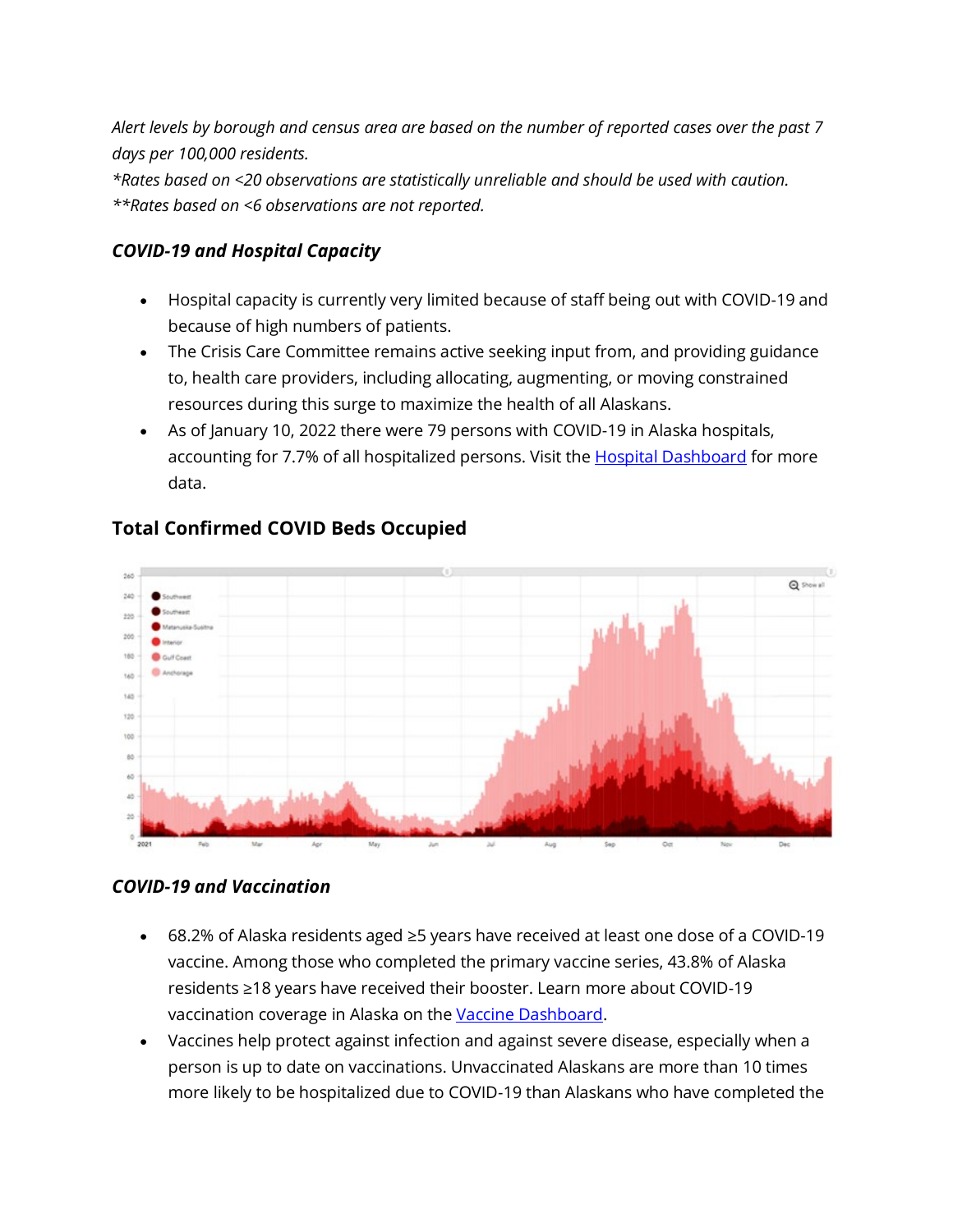*Alert levels by borough and census area are based on the number of reported cases over the past 7 days per 100,000 residents.*

*\*Rates based on <20 observations are statistically unreliable and should be used with caution. \*\*Rates based on <6 observations are not reported.*

#### *COVID-19 and Hospital Capacity*

- Hospital capacity is currently very limited because of staff being out with COVID-19 and because of high numbers of patients.
- The Crisis Care Committee remains active seeking input from, and providing guidance to, health care providers, including allocating, augmenting, or moving constrained resources during this surge to maximize the health of all Alaskans.
- As of January 10, 2022 there were 79 persons with COVID-19 in Alaska hospitals, accounting for 7.7% of all hospitalized persons. Visit the **Hospital Dashboard** for more data.



#### **Total Confirmed COVID Beds Occupied**

#### *COVID-19 and Vaccination*

- 68.2% of Alaska residents aged ≥5 years have received at least one dose of a COVID-19 vaccine. Among those who completed the primary vaccine series, 43.8% of Alaska residents ≥18 years have received their booster. Learn more about COVID-19 vaccination coverage in Alaska on the [Vaccine Dashboard.](https://lnks.gd/l/eyJhbGciOiJIUzI1NiJ9.eyJidWxsZXRpbl9saW5rX2lkIjoxMDQsInVyaSI6ImJwMjpjbGljayIsImJ1bGxldGluX2lkIjoiMjAyMjAxMTUuNTE4NTk4NTEiLCJ1cmwiOiJodHRwczovL2V4cGVyaWVuY2UuYXJjZ2lzLmNvbS9leHBlcmllbmNlL2E3ZThiZTRhZGJlNzQwYTFiYWQxMzkzODk0ZWU0MDc1LyJ9.PawjcUje96uhT_qDwpS9PJRtIv09NlyAOjDTQyFSrY4/s/1125523096/br/125100264393-l)
- Vaccines help protect against infection and against severe disease, especially when a person is up to date on vaccinations. Unvaccinated Alaskans are more than 10 times more likely to be hospitalized due to COVID-19 than Alaskans who have completed the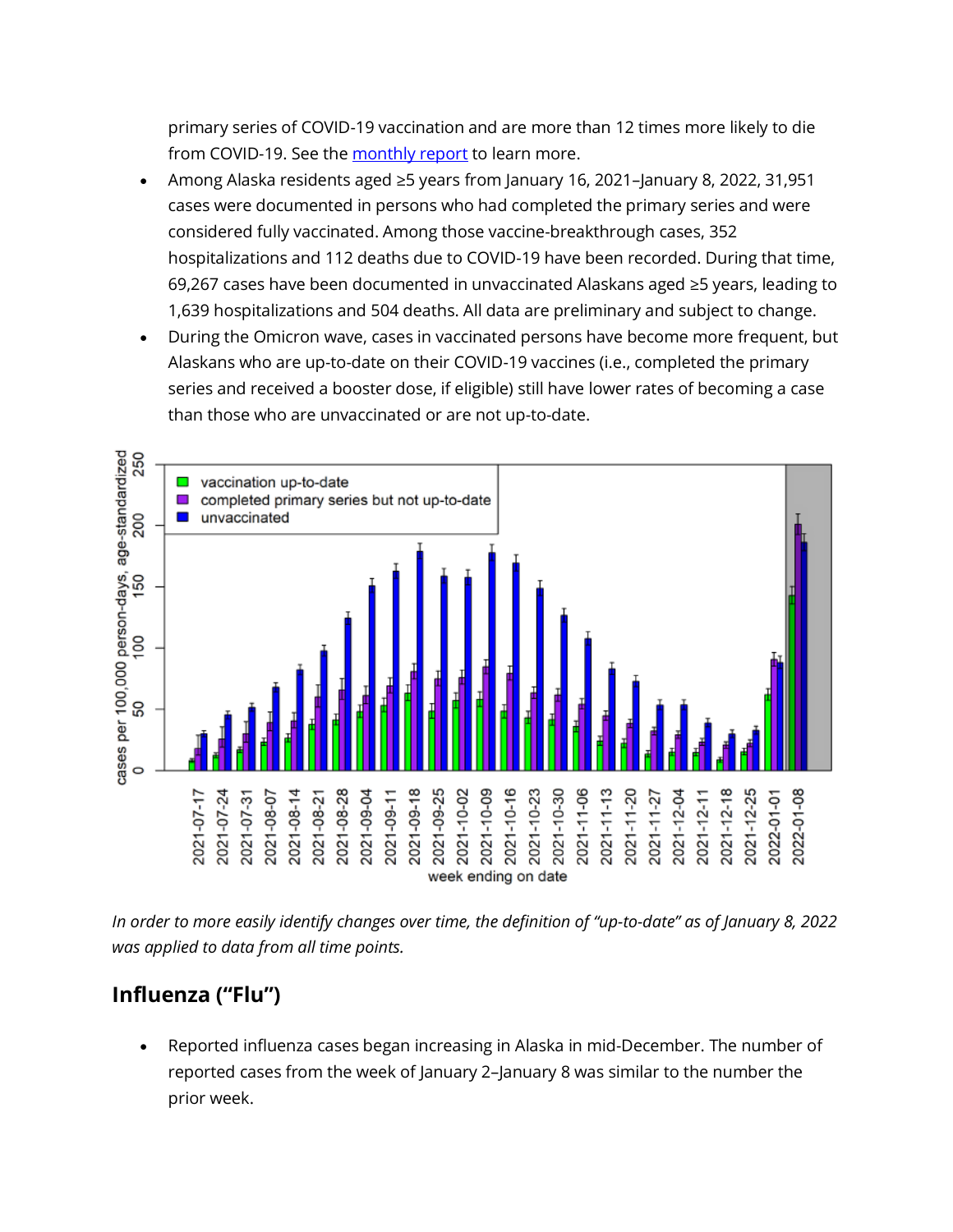primary series of COVID-19 vaccination and are more than 12 times more likely to die from COVID-19. See the [monthly report](https://lnks.gd/l/eyJhbGciOiJIUzI1NiJ9.eyJidWxsZXRpbl9saW5rX2lkIjoxMDUsInVyaSI6ImJwMjpjbGljayIsImJ1bGxldGluX2lkIjoiMjAyMjAxMTUuNTE4NTk4NTEiLCJ1cmwiOiJodHRwczovL2Roc3MuYWxhc2thLmdvdi9kcGgvRXBpL2lkL3NpdGVhc3NldHMvcGFnZXMvSHVtYW5Db1YvQ09WSURfbW9udGhseV91cGRhdGUucGRmIn0.omOC-37AsrHej5RU2yHiif971rcWsbZf_S-_vN8sEVo/s/1125523096/br/125100264393-l) to learn more.

- Among Alaska residents aged ≥5 years from January 16, 2021–January 8, 2022, 31,951 cases were documented in persons who had completed the primary series and were considered fully vaccinated. Among those vaccine-breakthrough cases, 352 hospitalizations and 112 deaths due to COVID-19 have been recorded. During that time, 69,267 cases have been documented in unvaccinated Alaskans aged ≥5 years, leading to 1,639 hospitalizations and 504 deaths. All data are preliminary and subject to change.
- During the Omicron wave, cases in vaccinated persons have become more frequent, but Alaskans who are up-to-date on their COVID-19 vaccines (i.e., completed the primary series and received a booster dose, if eligible) still have lower rates of becoming a case than those who are unvaccinated or are not up-to-date.



*In order to more easily identify changes over time, the definition of "up-to-date" as of January 8, 2022 was applied to data from all time points.*

## **Influenza ("Flu")**

• Reported influenza cases began increasing in Alaska in mid-December. The number of reported cases from the week of January 2–January 8 was similar to the number the prior week.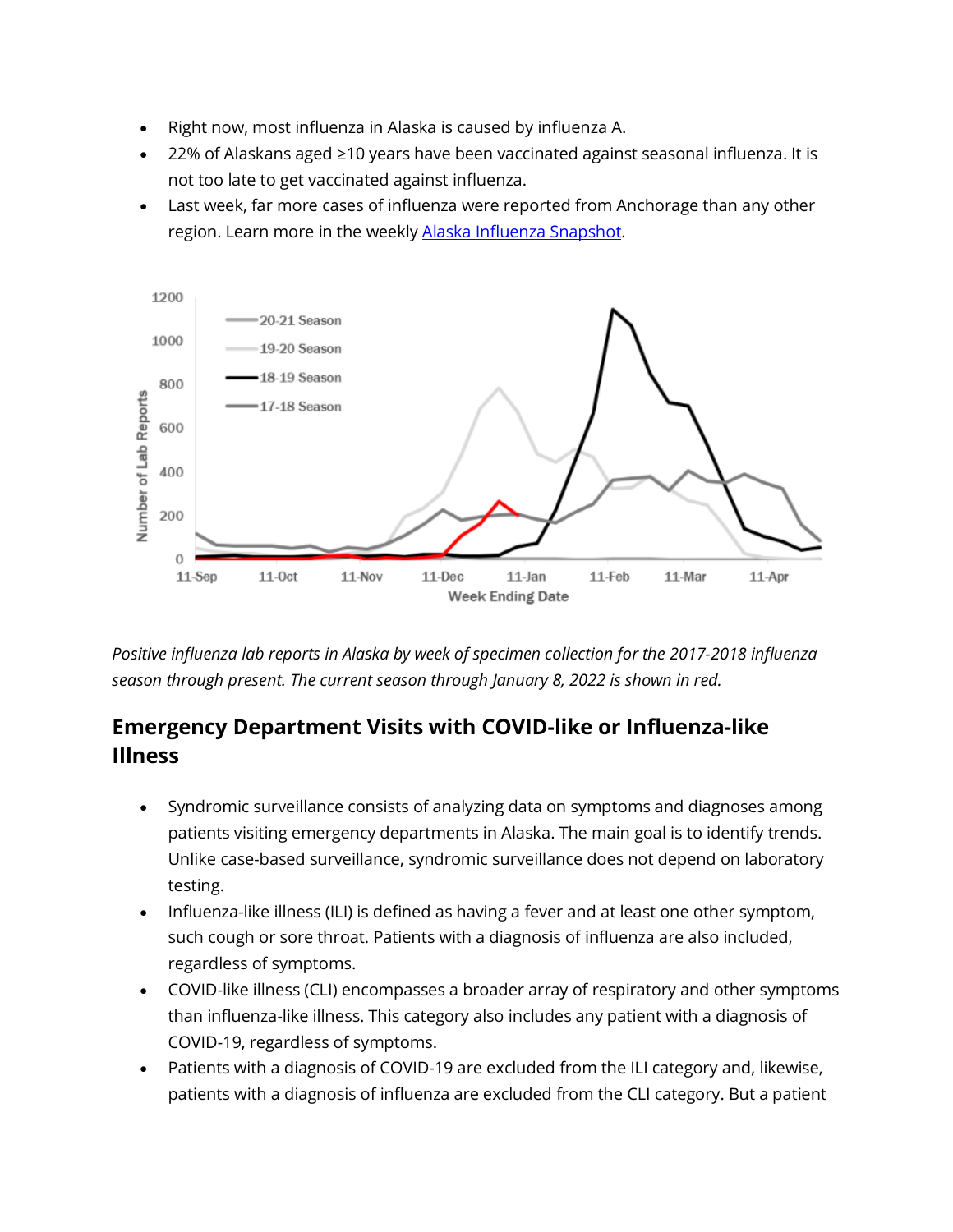- Right now, most influenza in Alaska is caused by influenza A.
- 22% of Alaskans aged ≥10 years have been vaccinated against seasonal influenza. It is not too late to get vaccinated against influenza.
- Last week, far more cases of influenza were reported from Anchorage than any other region. Learn more in the weekly [Alaska Influenza Snapshot.](https://lnks.gd/l/eyJhbGciOiJIUzI1NiJ9.eyJidWxsZXRpbl9saW5rX2lkIjoxMDYsInVyaSI6ImJwMjpjbGljayIsImJ1bGxldGluX2lkIjoiMjAyMjAxMTUuNTE4NTk4NTEiLCJ1cmwiOiJodHRwczovL2Roc3MuYWxhc2thLmdvdi9kcGgvRXBpL2lkL1NpdGVBc3NldHMvUGFnZXMvaW5mbHVlbnphL3RyZW5kcy9TbmFwc2hvdC5wZGYifQ.2p5mUVW7SP3dpal7_dUD4R2UXJO7r5wcvvyB2rutW3I/s/1125523096/br/125100264393-l)



*Positive influenza lab reports in Alaska by week of specimen collection for the 2017-2018 influenza season through present. The current season through January 8, 2022 is shown in red.* 

## **Emergency Department Visits with COVID-like or Influenza-like Illness**

- Syndromic surveillance consists of analyzing data on symptoms and diagnoses among patients visiting emergency departments in Alaska. The main goal is to identify trends. Unlike case-based surveillance, syndromic surveillance does not depend on laboratory testing.
- Influenza-like illness (ILI) is defined as having a fever and at least one other symptom, such cough or sore throat. Patients with a diagnosis of influenza are also included, regardless of symptoms.
- COVID-like illness (CLI) encompasses a broader array of respiratory and other symptoms than influenza-like illness. This category also includes any patient with a diagnosis of COVID-19, regardless of symptoms.
- Patients with a diagnosis of COVID-19 are excluded from the ILI category and, likewise, patients with a diagnosis of influenza are excluded from the CLI category. But a patient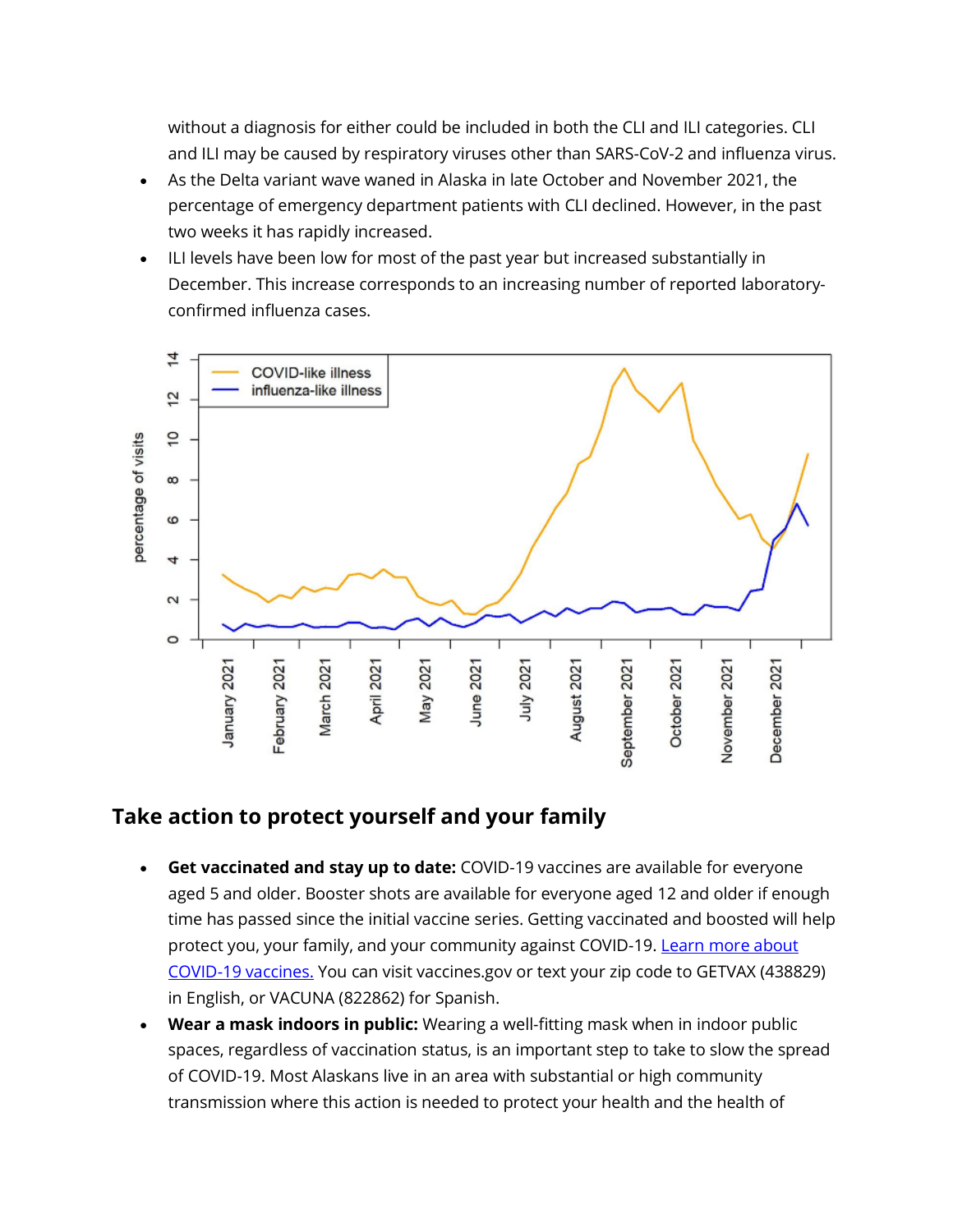without a diagnosis for either could be included in both the CLI and ILI categories. CLI and ILI may be caused by respiratory viruses other than SARS-CoV-2 and influenza virus.

- As the Delta variant wave waned in Alaska in late October and November 2021, the percentage of emergency department patients with CLI declined. However, in the past two weeks it has rapidly increased.
- ILI levels have been low for most of the past year but increased substantially in December. This increase corresponds to an increasing number of reported laboratoryconfirmed influenza cases.



### **Take action to protect yourself and your family**

- **Get vaccinated and stay up to date:** COVID-19 vaccines are available for everyone aged 5 and older. Booster shots are available for everyone aged 12 and older if enough time has passed since the initial vaccine series. Getting vaccinated and boosted will help protect you, your family, and your community against COVID-19. Learn more about [COVID-19 vaccines.](https://lnks.gd/l/eyJhbGciOiJIUzI1NiJ9.eyJidWxsZXRpbl9saW5rX2lkIjoxMDcsInVyaSI6ImJwMjpjbGljayIsImJ1bGxldGluX2lkIjoiMjAyMjAxMTUuNTE4NTk4NTEiLCJ1cmwiOiJodHRwOi8vY292aWR2YXguYWxhc2thLmdvdiJ9.zV4S5c-YyhS66fhfi4U0Kzbs2nJDkzN2Kq9ie7QRIH0/s/1125523096/br/125100264393-l) You can visit vaccines.gov or text your zip code to GETVAX (438829) in English, or VACUNA (822862) for Spanish.
- **Wear a mask indoors in public:** Wearing a well-fitting mask when in indoor public spaces, regardless of vaccination status, is an important step to take to slow the spread of COVID-19. Most Alaskans live in an area with substantial or high community transmission where this action is needed to protect your health and the health of